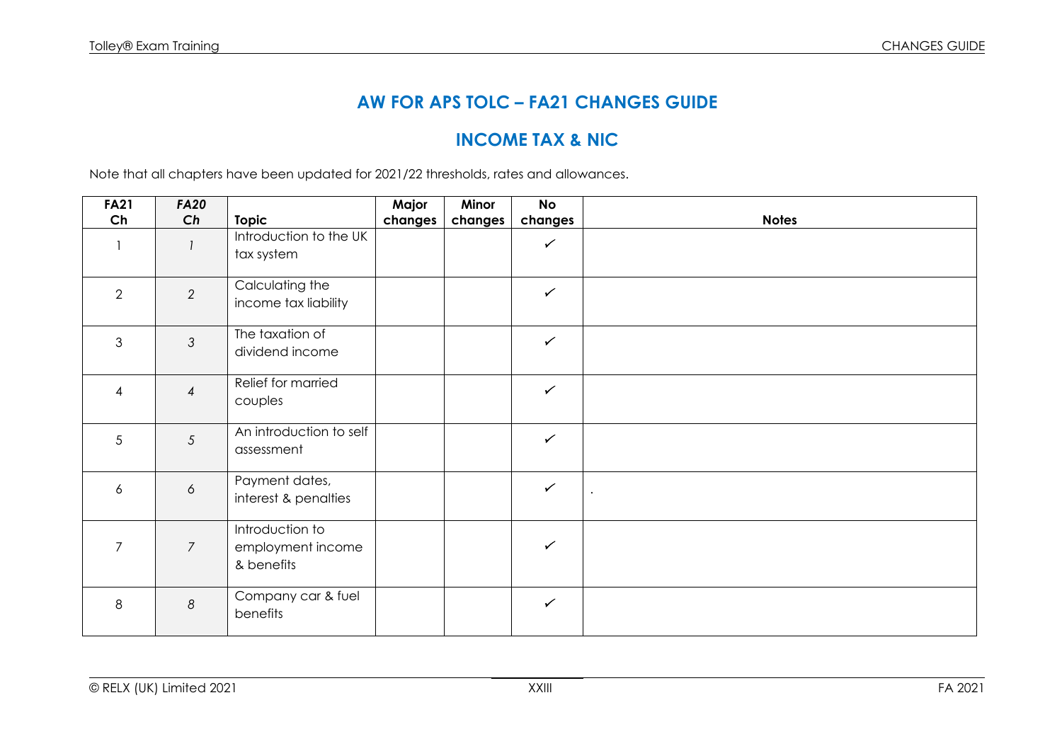## **AW FOR APS TOLC – FA21 CHANGES GUIDE**

## **INCOME TAX & NIC**

Note that all chapters have been updated for 2021/22 thresholds, rates and allowances.

| <b>FA21</b>              | <b>FA20</b>      |                                                    | Major   | Minor   | <b>No</b>    |              |
|--------------------------|------------------|----------------------------------------------------|---------|---------|--------------|--------------|
| Ch                       | Ch               | <b>Topic</b>                                       | changes | changes | changes      | <b>Notes</b> |
|                          |                  | Introduction to the UK<br>tax system               |         |         | $\checkmark$ |              |
| 2                        | 2                | Calculating the<br>income tax liability            |         |         | $\checkmark$ |              |
| 3                        | $\mathfrak{Z}$   | The taxation of<br>dividend income                 |         |         | $\checkmark$ |              |
| $\overline{\mathcal{A}}$ | $\overline{4}$   | Relief for married<br>couples                      |         |         | $\checkmark$ |              |
| 5                        | 5                | An introduction to self<br>assessment              |         |         | $\checkmark$ |              |
| 6                        | $\acute{\rm{o}}$ | Payment dates,<br>interest & penalties             |         |         | $\checkmark$ | $\bullet$    |
| $\overline{7}$           | $\overline{7}$   | Introduction to<br>employment income<br>& benefits |         |         | $\checkmark$ |              |
| 8                        | $\boldsymbol{8}$ | Company car & fuel<br>benefits                     |         |         | $\checkmark$ |              |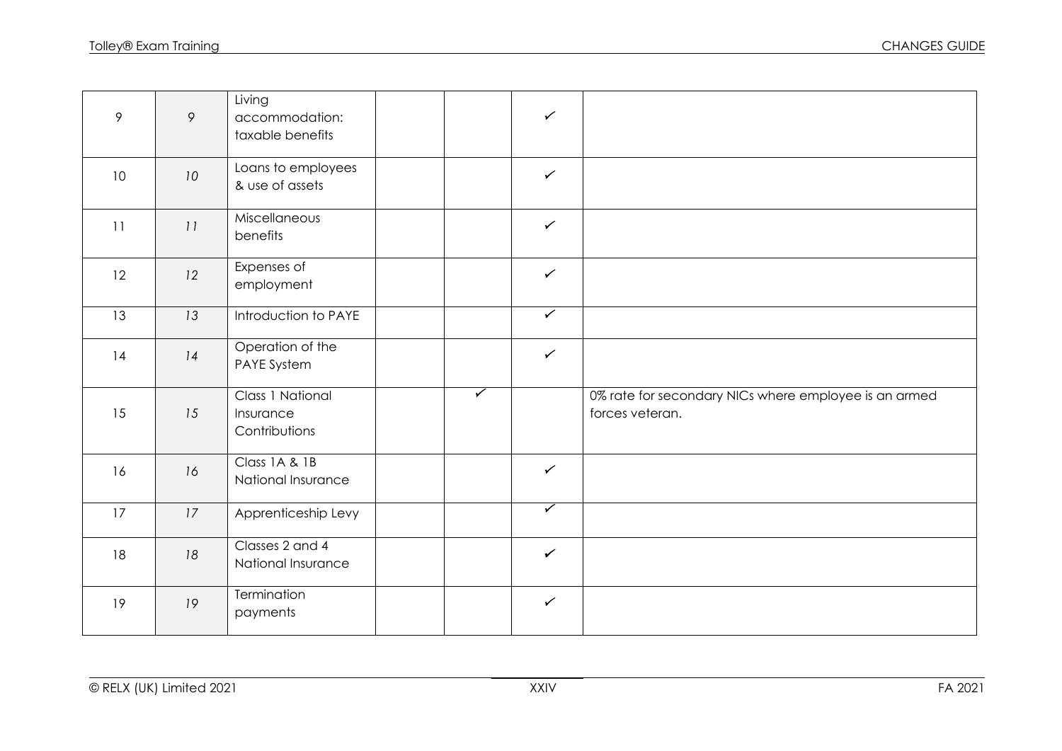| 9  | $\circ$ | Living<br>accommodation:<br>taxable benefits   |                      | $\checkmark$ |                                                                          |
|----|---------|------------------------------------------------|----------------------|--------------|--------------------------------------------------------------------------|
| 10 | 10      | Loans to employees<br>& use of assets          |                      | $\checkmark$ |                                                                          |
| 11 | 11      | Miscellaneous<br>benefits                      |                      | $\checkmark$ |                                                                          |
| 12 | 12      | Expenses of<br>employment                      |                      | $\checkmark$ |                                                                          |
| 13 | 13      | Introduction to PAYE                           |                      | $\sqrt{2}$   |                                                                          |
| 14 | 14      | Operation of the<br>PAYE System                |                      | $\checkmark$ |                                                                          |
| 15 | 15      | Class 1 National<br>Insurance<br>Contributions | $\blacktriangledown$ |              | 0% rate for secondary NICs where employee is an armed<br>forces veteran. |
| 16 | 16      | Class 1A & 1B<br>National Insurance            |                      | $\checkmark$ |                                                                          |
| 17 | 17      | Apprenticeship Levy                            |                      | $\checkmark$ |                                                                          |
| 18 | 18      | Classes 2 and 4<br>National Insurance          |                      | $\checkmark$ |                                                                          |
| 19 | 19      | Termination<br>payments                        |                      | $\checkmark$ |                                                                          |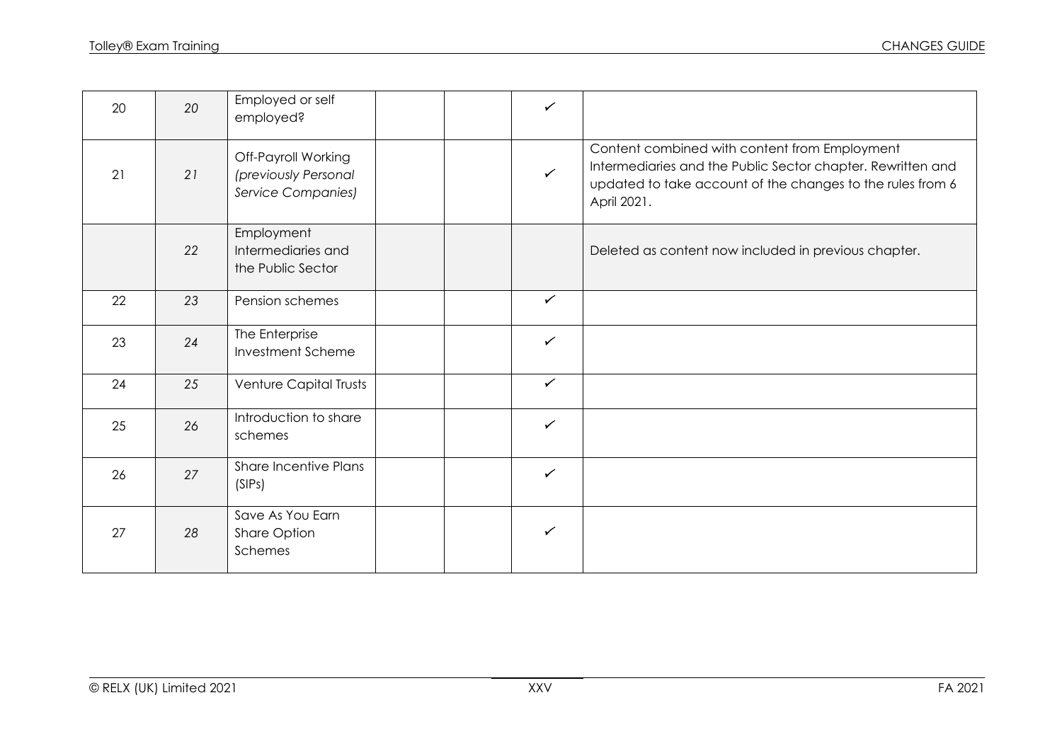| 20 | 20 | Employed or self<br>employed?                                            |  | $\checkmark$ |                                                                                                                                                                                           |
|----|----|--------------------------------------------------------------------------|--|--------------|-------------------------------------------------------------------------------------------------------------------------------------------------------------------------------------------|
| 21 | 21 | Off-Payroll Working<br>(previously Personal<br><b>Service Companies)</b> |  | $\checkmark$ | Content combined with content from Employment<br>Intermediaries and the Public Sector chapter. Rewritten and<br>updated to take account of the changes to the rules from 6<br>April 2021. |
|    | 22 | Employment<br>Intermediaries and<br>the Public Sector                    |  |              | Deleted as content now included in previous chapter.                                                                                                                                      |
| 22 | 23 | Pension schemes                                                          |  | $\checkmark$ |                                                                                                                                                                                           |
| 23 | 24 | The Enterprise<br>Investment Scheme                                      |  | $\checkmark$ |                                                                                                                                                                                           |
| 24 | 25 | Venture Capital Trusts                                                   |  | $\checkmark$ |                                                                                                                                                                                           |
| 25 | 26 | Introduction to share<br>schemes                                         |  | $\checkmark$ |                                                                                                                                                                                           |
| 26 | 27 | <b>Share Incentive Plans</b><br>(SIPs)                                   |  | $\checkmark$ |                                                                                                                                                                                           |
| 27 | 28 | Save As You Earn<br>Share Option<br>Schemes                              |  | $\checkmark$ |                                                                                                                                                                                           |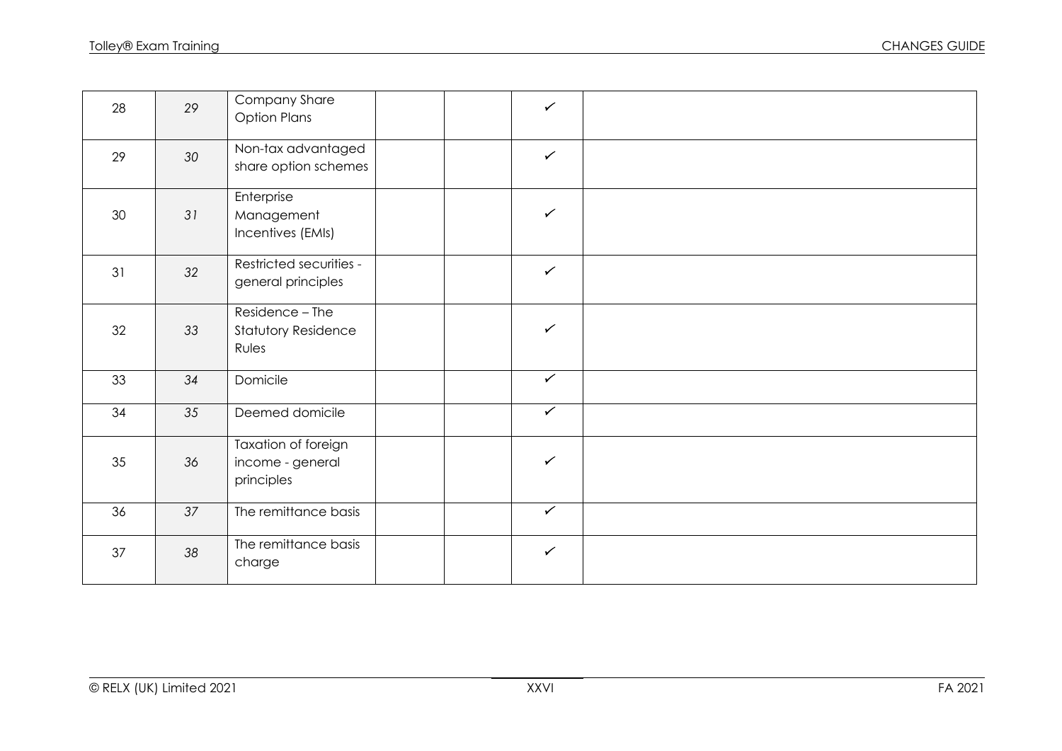| 28 | 29 | Company Share<br><b>Option Plans</b>                   | $\checkmark$             |  |
|----|----|--------------------------------------------------------|--------------------------|--|
| 29 | 30 | Non-tax advantaged<br>share option schemes             | $\checkmark$             |  |
| 30 | 31 | Enterprise<br>Management<br>Incentives (EMIs)          | $\checkmark$             |  |
| 31 | 32 | Restricted securities -<br>general principles          | $\checkmark$             |  |
| 32 | 33 | Residence - The<br><b>Statutory Residence</b><br>Rules | $\checkmark$             |  |
| 33 | 34 | Domicile                                               | $\overline{\checkmark}$  |  |
| 34 | 35 | Deemed domicile                                        | $\checkmark$             |  |
| 35 | 36 | Taxation of foreign<br>income - general<br>principles  | $\checkmark$             |  |
| 36 | 37 | The remittance basis                                   | $\overline{\mathscr{C}}$ |  |
| 37 | 38 | The remittance basis<br>charge                         | $\checkmark$             |  |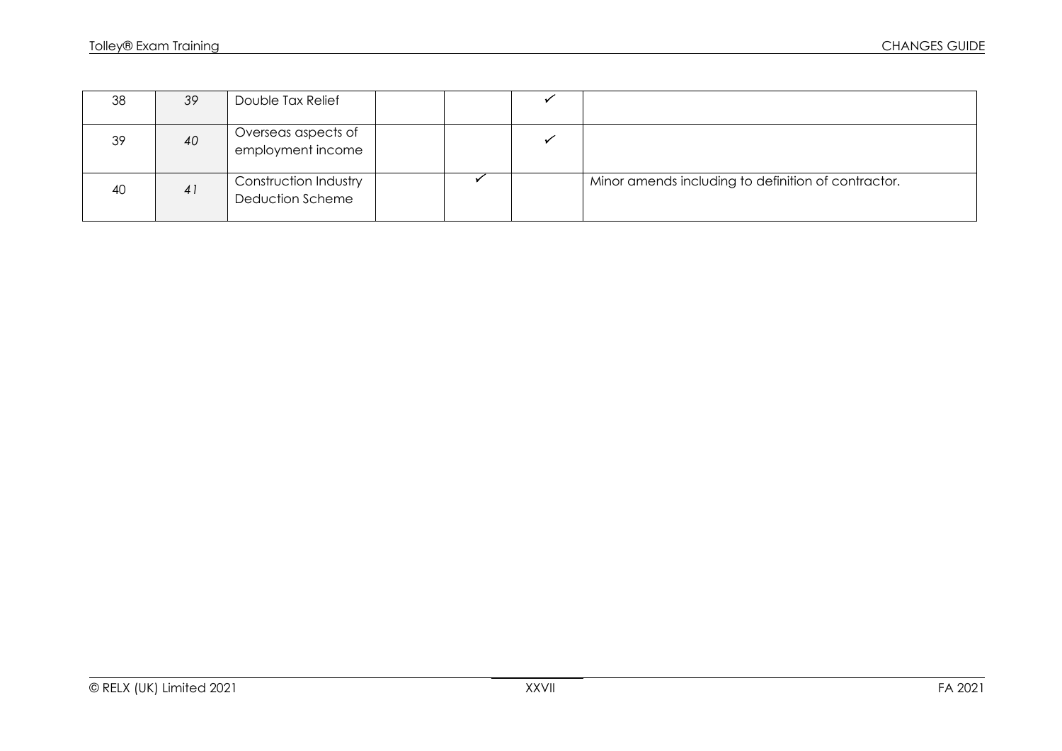| 38 | 39 | Double Tax Relief                         |  |                                                     |
|----|----|-------------------------------------------|--|-----------------------------------------------------|
| 39 | 40 | Overseas aspects of<br>employment income  |  |                                                     |
| 40 | 41 | Construction Industry<br>Deduction Scheme |  | Minor amends including to definition of contractor. |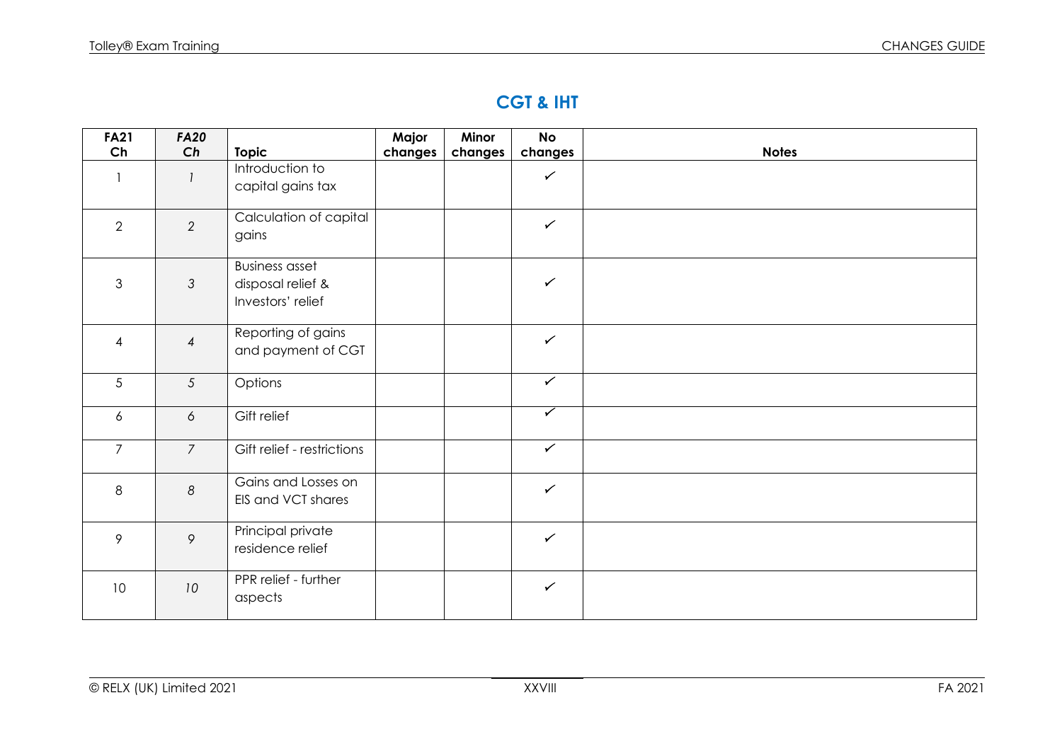# **CGT & IHT**

| <b>FA21</b>     | <b>FA20</b>      |                                                                 | Major   | Minor   | <b>No</b>               |              |
|-----------------|------------------|-----------------------------------------------------------------|---------|---------|-------------------------|--------------|
| Ch              | Ch               | <b>Topic</b>                                                    | changes | changes | changes                 | <b>Notes</b> |
|                 |                  | Introduction to<br>capital gains tax                            |         |         | $\checkmark$            |              |
| 2               | $\overline{2}$   | Calculation of capital<br>gains                                 |         |         | $\checkmark$            |              |
| $\mathfrak{S}$  | $\mathfrak{Z}$   | <b>Business asset</b><br>disposal relief &<br>Investors' relief |         |         | $\checkmark$            |              |
| $\overline{4}$  | $\overline{4}$   | Reporting of gains<br>and payment of CGT                        |         |         | $\checkmark$            |              |
| 5               | $5\overline{)}$  | Options                                                         |         |         | $\checkmark$            |              |
| 6               | 6                | Gift relief                                                     |         |         | $\overline{\checkmark}$ |              |
| $\overline{7}$  | $\overline{7}$   | Gift relief - restrictions                                      |         |         | $\checkmark$            |              |
| 8               | $\boldsymbol{8}$ | Gains and Losses on<br>EIS and VCT shares                       |         |         | $\checkmark$            |              |
| 9               | 9                | Principal private<br>residence relief                           |         |         | $\checkmark$            |              |
| 10 <sup>°</sup> | 10               | PPR relief - further<br>aspects                                 |         |         | $\checkmark$            |              |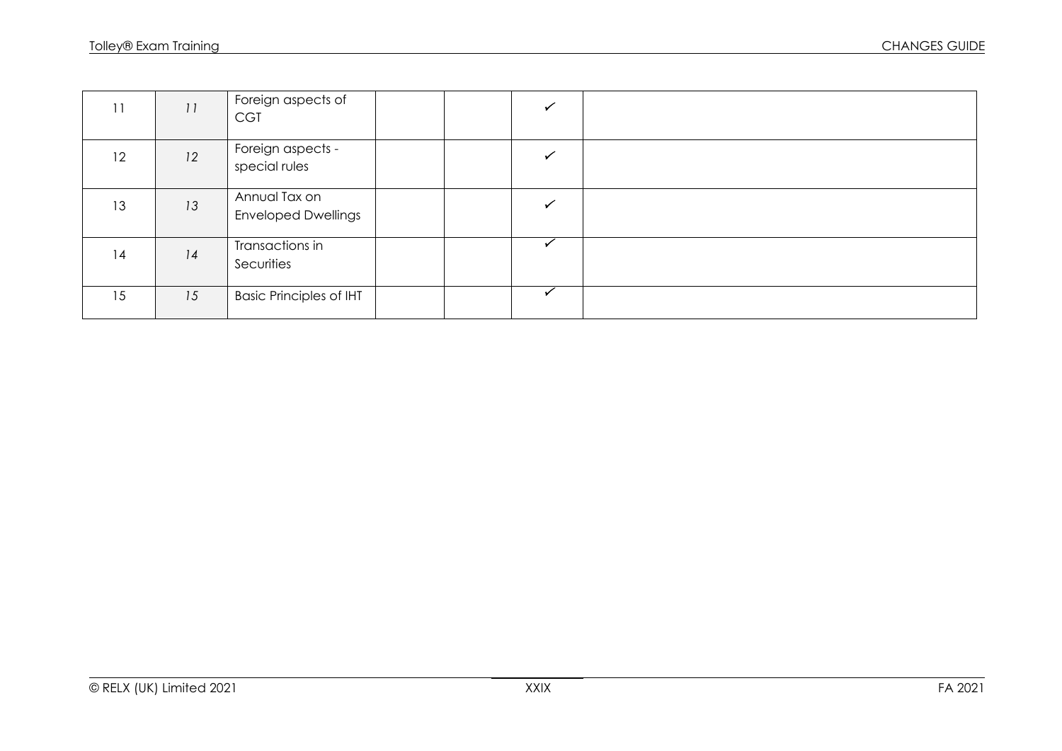| 11 | 11 | Foreign aspects of<br><b>CGT</b>            |  |  |
|----|----|---------------------------------------------|--|--|
| 12 | 12 | Foreign aspects -<br>special rules          |  |  |
| 13 | 13 | Annual Tax on<br><b>Enveloped Dwellings</b> |  |  |
| 14 | 14 | Transactions in<br>Securities               |  |  |
| 15 | 15 | <b>Basic Principles of IHT</b>              |  |  |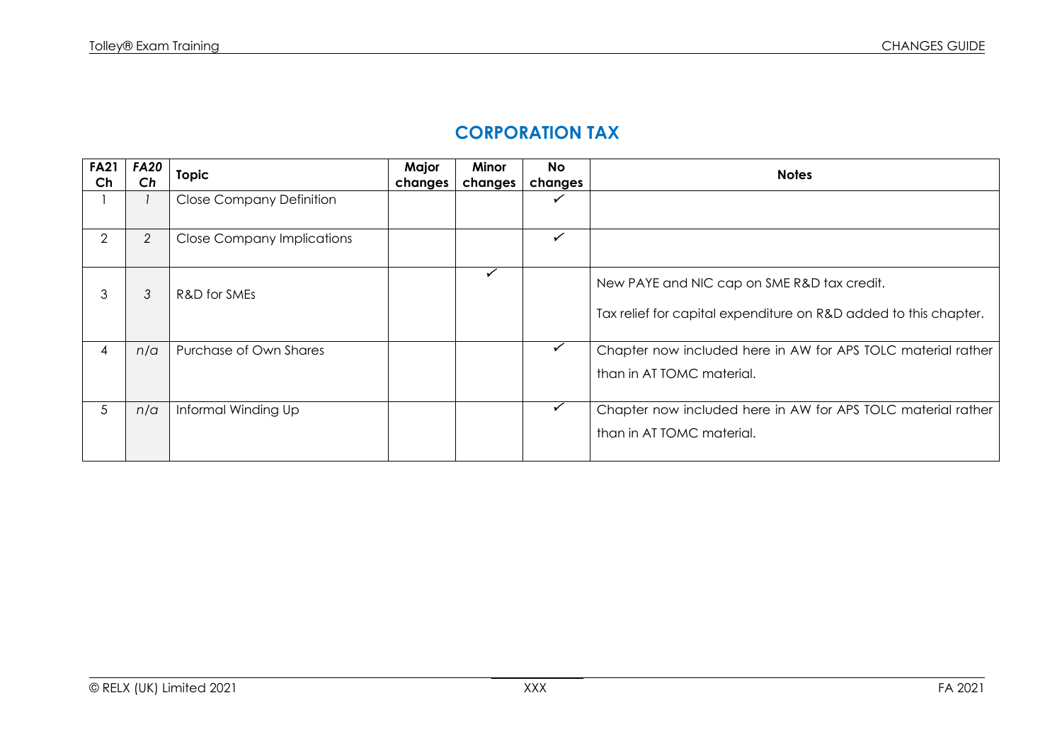## **CORPORATION TAX**

| <b>FA21</b> | <b>FA20</b> | <b>Topic</b>                      | Major   | Minor        | <b>No</b> | <b>Notes</b>                                                                                                    |
|-------------|-------------|-----------------------------------|---------|--------------|-----------|-----------------------------------------------------------------------------------------------------------------|
| Ch          | Ch          |                                   | changes | changes      | changes   |                                                                                                                 |
|             |             | <b>Close Company Definition</b>   |         |              |           |                                                                                                                 |
| 2           | 2           | <b>Close Company Implications</b> |         |              | ✓         |                                                                                                                 |
| 3           | 3           | R&D for SMEs                      |         | $\checkmark$ |           | New PAYE and NIC cap on SME R&D tax credit.<br>Tax relief for capital expenditure on R&D added to this chapter. |
| 4           | n/a         | Purchase of Own Shares            |         |              |           | Chapter now included here in AW for APS TOLC material rather<br>than in AT TOMC material.                       |
| 5           | n/a         | Informal Winding Up               |         |              | ✓         | Chapter now included here in AW for APS TOLC material rather<br>than in AT TOMC material.                       |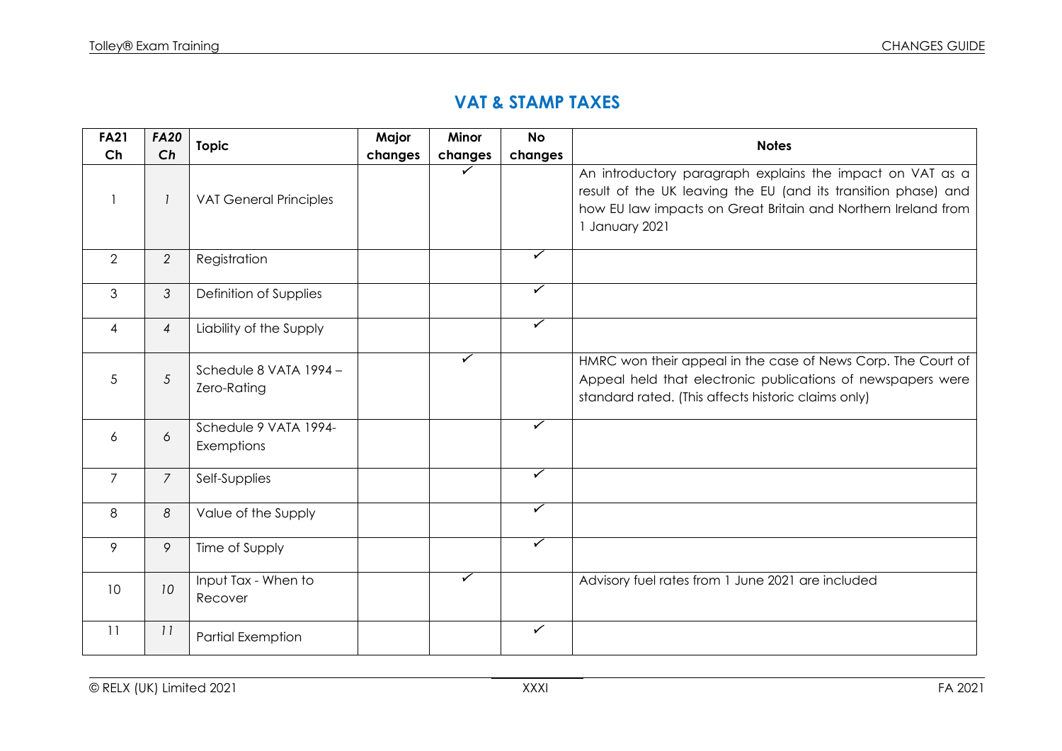#### **VAT & STAMP TAXES**

| <b>FA21</b>    | <b>FA20</b>    | <b>Topic</b>                          | Major   | Minor                   | <b>No</b>               | <b>Notes</b>                                                                                                                                                                                                   |
|----------------|----------------|---------------------------------------|---------|-------------------------|-------------------------|----------------------------------------------------------------------------------------------------------------------------------------------------------------------------------------------------------------|
| Ch             | Ch             |                                       | changes | changes                 | changes                 |                                                                                                                                                                                                                |
|                | 1              | <b>VAT General Principles</b>         |         | $\checkmark$            |                         | An introductory paragraph explains the impact on VAT as a<br>result of the UK leaving the EU (and its transition phase) and<br>how EU law impacts on Great Britain and Northern Ireland from<br>1 January 2021 |
| 2              | 2              | Registration                          |         |                         | $\overline{\checkmark}$ |                                                                                                                                                                                                                |
| 3              | $\mathfrak{Z}$ | Definition of Supplies                |         |                         | ✓                       |                                                                                                                                                                                                                |
| 4              | $\overline{4}$ | Liability of the Supply               |         |                         | $\blacktriangledown$    |                                                                                                                                                                                                                |
| 5              | $\mathfrak{S}$ | Schedule 8 VATA 1994 -<br>Zero-Rating |         | $\checkmark$            |                         | HMRC won their appeal in the case of News Corp. The Court of<br>Appeal held that electronic publications of newspapers were<br>standard rated. (This affects historic claims only)                             |
| 6              | 6              | Schedule 9 VATA 1994-<br>Exemptions   |         |                         | $\checkmark$            |                                                                                                                                                                                                                |
| $\overline{7}$ | $\overline{7}$ | Self-Supplies                         |         |                         | $\checkmark$            |                                                                                                                                                                                                                |
| 8              | 8              | Value of the Supply                   |         |                         | $\overline{\checkmark}$ |                                                                                                                                                                                                                |
| 9              | 9              | Time of Supply                        |         |                         | $\overline{\checkmark}$ |                                                                                                                                                                                                                |
| 10             | 10             | Input Tax - When to<br>Recover        |         | $\overline{\checkmark}$ |                         | Advisory fuel rates from 1 June 2021 are included                                                                                                                                                              |
| 11             | 11             | <b>Partial Exemption</b>              |         |                         | $\checkmark$            |                                                                                                                                                                                                                |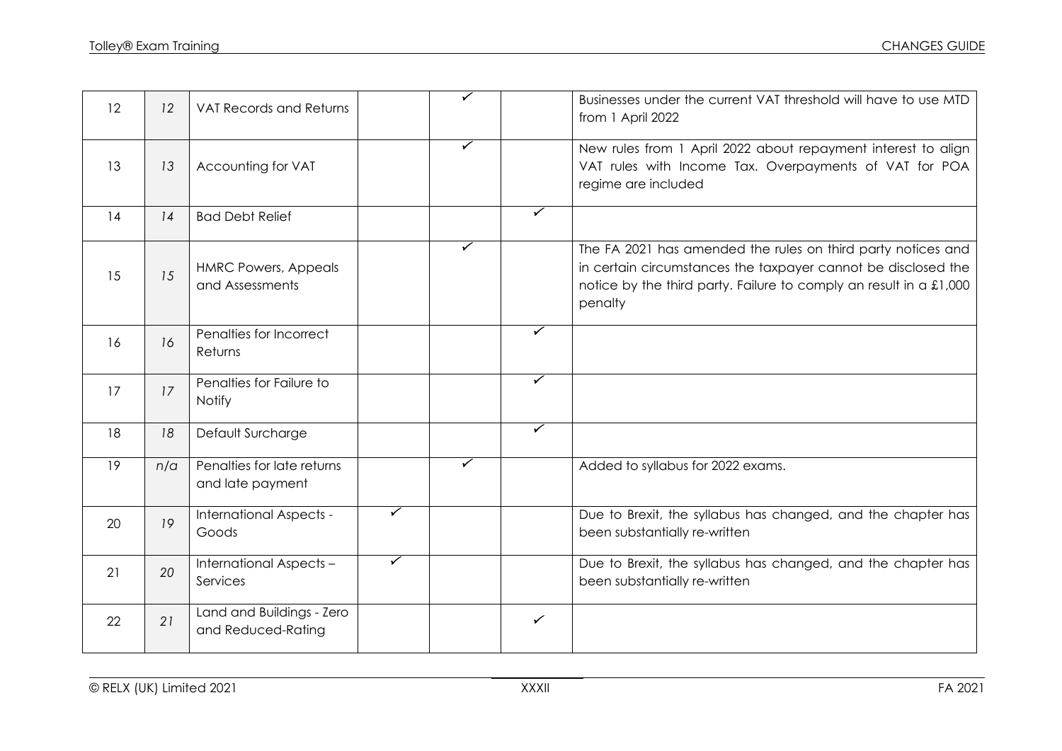| 12 | 12  | <b>VAT Records and Returns</b>                  |   | ✓                       |                         | Businesses under the current VAT threshold will have to use MTD<br>from 1 April 2022                                                                                                                           |
|----|-----|-------------------------------------------------|---|-------------------------|-------------------------|----------------------------------------------------------------------------------------------------------------------------------------------------------------------------------------------------------------|
| 13 | 13  | Accounting for VAT                              |   | ✓                       |                         | New rules from 1 April 2022 about repayment interest to align<br>VAT rules with Income Tax. Overpayments of VAT for POA<br>regime are included                                                                 |
| 14 | 14  | <b>Bad Debt Relief</b>                          |   |                         | $\overline{\checkmark}$ |                                                                                                                                                                                                                |
| 15 | 15  | <b>HMRC Powers, Appeals</b><br>and Assessments  |   | $\overline{\checkmark}$ |                         | The FA 2021 has amended the rules on third party notices and<br>in certain circumstances the taxpayer cannot be disclosed the<br>notice by the third party. Failure to comply an result in a £1,000<br>penalty |
| 16 | 16  | Penalties for Incorrect<br>Returns              |   |                         | ✓                       |                                                                                                                                                                                                                |
| 17 | 17  | Penalties for Failure to<br>Notify              |   |                         | ✓                       |                                                                                                                                                                                                                |
| 18 | 18  | Default Surcharge                               |   |                         | $\checkmark$            |                                                                                                                                                                                                                |
| 19 | n/a | Penalties for late returns<br>and late payment  |   | ✓                       |                         | Added to syllabus for 2022 exams.                                                                                                                                                                              |
| 20 | 19  | International Aspects -<br>Goods                | ✓ |                         |                         | Due to Brexit, the syllabus has changed, and the chapter has<br>been substantially re-written                                                                                                                  |
| 21 | 20  | International Aspects -<br>Services             | ✓ |                         |                         | Due to Brexit, the syllabus has changed, and the chapter has<br>been substantially re-written                                                                                                                  |
| 22 | 21  | Land and Buildings - Zero<br>and Reduced-Rating |   |                         | $\checkmark$            |                                                                                                                                                                                                                |